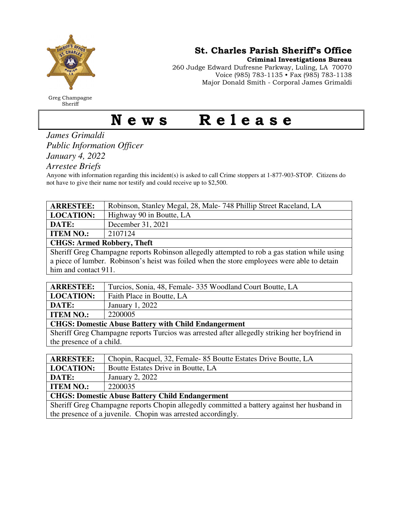

Greg Champagne Sheriff

St. Charles Parish Sheriff's Office

Criminal Investigations Bureau

260 Judge Edward Dufresne Parkway, Luling, LA 70070 Voice (985) 783-1135 • Fax (985) 783-1138 Major Donald Smith - Corporal James Grimaldi

## News Release

*James Grimaldi Public Information Officer January 4, 2022* 

*Arrestee Briefs* 

Anyone with information regarding this incident(s) is asked to call Crime stoppers at 1-877-903-STOP. Citizens do not have to give their name nor testify and could receive up to \$2,500.

| <b>ARRESTEE:</b>                                                                             | Robinson, Stanley Megal, 28, Male-748 Phillip Street Raceland, LA |
|----------------------------------------------------------------------------------------------|-------------------------------------------------------------------|
| <b>LOCATION:</b>                                                                             | Highway 90 in Boutte, LA                                          |
| DATE:                                                                                        | December 31, 2021                                                 |
| <b>ITEM NO.:</b>                                                                             | 2107124                                                           |
| <b>CHGS: Armed Robbery, Theft</b>                                                            |                                                                   |
| Sheriff Greg Champagne reports Robinson allegedly attempted to rob a gas station while using |                                                                   |

a piece of lumber. Robinson's heist was foiled when the store employees were able to detain him and contact 911.

| <b>ARRESTEE:</b>                                            | Turcios, Sonia, 48, Female 335 Woodland Court Boutte, LA |
|-------------------------------------------------------------|----------------------------------------------------------|
| <b>LOCATION:</b>                                            | Faith Place in Boutte, LA                                |
| DATE:                                                       | January 1, 2022                                          |
| <b>ITEM NO.:</b>                                            | 2200005                                                  |
| <b>CHGS: Domestic Abuse Battery with Child Endangerment</b> |                                                          |

Sheriff Greg Champagne reports Turcios was arrested after allegedly striking her boyfriend in the presence of a child.

| <b>ARRESTEE:</b>                                                                           | Chopin, Racquel, 32, Female 85 Boutte Estates Drive Boutte, LA |
|--------------------------------------------------------------------------------------------|----------------------------------------------------------------|
| <b>LOCATION:</b>                                                                           | Boutte Estates Drive in Boutte, LA                             |
| DATE:                                                                                      | January 2, 2022                                                |
| <b>ITEM NO.:</b>                                                                           | 2200035                                                        |
| <b>CHGS: Domestic Abuse Battery Child Endangerment</b>                                     |                                                                |
| Sheriff Greg Champagne reports Chopin allegedly committed a battery against her husband in |                                                                |
| the presence of a juvenile. Chopin was arrested accordingly.                               |                                                                |